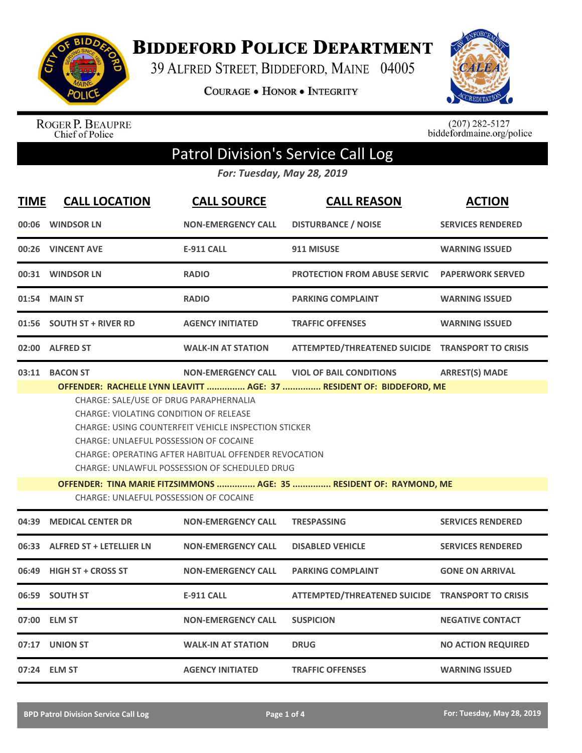

**BIDDEFORD POLICE DEPARTMENT** 

39 ALFRED STREET, BIDDEFORD, MAINE 04005

**COURAGE . HONOR . INTEGRITY** 



ROGER P. BEAUPRE<br>Chief of Police

 $(207)$  282-5127<br>biddefordmaine.org/police

## Patrol Division's Service Call Log

*For: Tuesday, May 28, 2019*

| <b>TIME</b> | <b>CALL LOCATION</b>                                                                                                                            | <b>CALL SOURCE</b>                                                  | <b>CALL REASON</b>                               | <b>ACTION</b>             |  |  |
|-------------|-------------------------------------------------------------------------------------------------------------------------------------------------|---------------------------------------------------------------------|--------------------------------------------------|---------------------------|--|--|
| 00:06       | <b>WINDSOR LN</b>                                                                                                                               | <b>NON-EMERGENCY CALL</b>                                           | <b>DISTURBANCE / NOISE</b>                       | <b>SERVICES RENDERED</b>  |  |  |
|             | 00:26 VINCENT AVE                                                                                                                               | <b>E-911 CALL</b>                                                   | 911 MISUSE                                       | <b>WARNING ISSUED</b>     |  |  |
|             | 00:31 WINDSOR LN                                                                                                                                | <b>RADIO</b>                                                        | <b>PROTECTION FROM ABUSE SERVIC</b>              | <b>PAPERWORK SERVED</b>   |  |  |
|             | 01:54 MAIN ST                                                                                                                                   | <b>RADIO</b>                                                        | <b>PARKING COMPLAINT</b>                         | <b>WARNING ISSUED</b>     |  |  |
|             | 01:56 SOUTH ST + RIVER RD                                                                                                                       | <b>AGENCY INITIATED</b>                                             | <b>TRAFFIC OFFENSES</b>                          | <b>WARNING ISSUED</b>     |  |  |
|             | 02:00 ALFRED ST                                                                                                                                 | <b>WALK-IN AT STATION</b>                                           | ATTEMPTED/THREATENED SUICIDE TRANSPORT TO CRISIS |                           |  |  |
|             | 03:11 BACON ST                                                                                                                                  | <b>NON-EMERGENCY CALL</b>                                           | <b>VIOL OF BAIL CONDITIONS</b>                   | <b>ARREST(S) MADE</b>     |  |  |
|             | OFFENDER: RACHELLE LYNN LEAVITT  AGE: 37  RESIDENT OF: BIDDEFORD, ME                                                                            |                                                                     |                                                  |                           |  |  |
|             | CHARGE: SALE/USE OF DRUG PARAPHERNALIA                                                                                                          |                                                                     |                                                  |                           |  |  |
|             | <b>CHARGE: VIOLATING CONDITION OF RELEASE</b>                                                                                                   |                                                                     |                                                  |                           |  |  |
|             | <b>CHARGE: USING COUNTERFEIT VEHICLE INSPECTION STICKER</b>                                                                                     |                                                                     |                                                  |                           |  |  |
|             | CHARGE: UNLAEFUL POSSESSION OF COCAINE<br>CHARGE: OPERATING AFTER HABITUAL OFFENDER REVOCATION<br>CHARGE: UNLAWFUL POSSESSION OF SCHEDULED DRUG |                                                                     |                                                  |                           |  |  |
|             |                                                                                                                                                 |                                                                     |                                                  |                           |  |  |
|             |                                                                                                                                                 |                                                                     |                                                  |                           |  |  |
|             |                                                                                                                                                 | OFFENDER: TINA MARIE FITZSIMMONS  AGE: 35  RESIDENT OF: RAYMOND, ME |                                                  |                           |  |  |
|             | <b>CHARGE: UNLAEFUL POSSESSION OF COCAINE</b>                                                                                                   |                                                                     |                                                  |                           |  |  |
| 04:39       | <b>MEDICAL CENTER DR</b>                                                                                                                        | <b>NON-EMERGENCY CALL</b>                                           | <b>TRESPASSING</b>                               | <b>SERVICES RENDERED</b>  |  |  |
|             | 06:33 ALFRED ST + LETELLIER LN                                                                                                                  | <b>NON-EMERGENCY CALL</b>                                           | <b>DISABLED VEHICLE</b>                          | <b>SERVICES RENDERED</b>  |  |  |
| 06:49       | <b>HIGH ST + CROSS ST</b>                                                                                                                       | <b>NON-EMERGENCY CALL</b>                                           | <b>PARKING COMPLAINT</b>                         | <b>GONE ON ARRIVAL</b>    |  |  |
|             | 06:59 SOUTH ST                                                                                                                                  | <b>E-911 CALL</b>                                                   | ATTEMPTED/THREATENED SUICIDE TRANSPORT TO CRISIS |                           |  |  |
|             | 07:00 ELM ST                                                                                                                                    | <b>NON-EMERGENCY CALL</b>                                           | <b>SUSPICION</b>                                 | <b>NEGATIVE CONTACT</b>   |  |  |
|             | 07:17 UNION ST                                                                                                                                  | <b>WALK-IN AT STATION</b>                                           | <b>DRUG</b>                                      | <b>NO ACTION REQUIRED</b> |  |  |
|             | 07:24 ELM ST                                                                                                                                    | <b>AGENCY INITIATED</b>                                             | <b>TRAFFIC OFFENSES</b>                          | <b>WARNING ISSUED</b>     |  |  |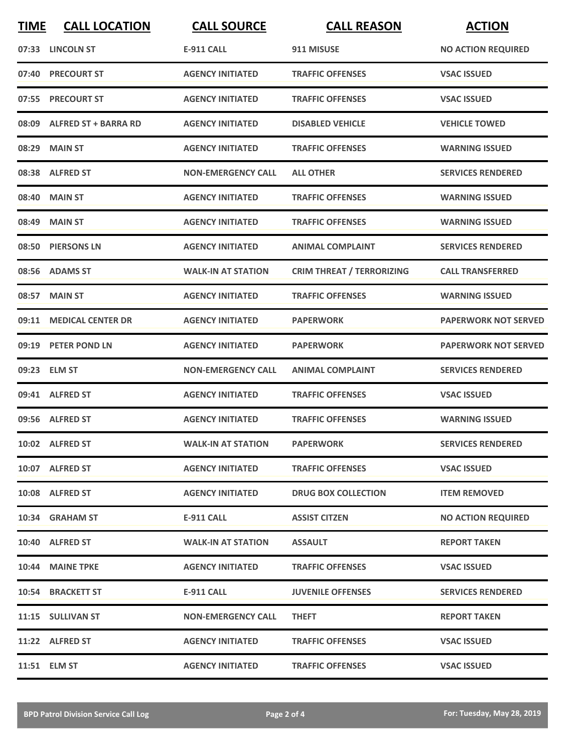| <b>TIME</b> | <b>CALL LOCATION</b>       | <b>CALL SOURCE</b>        | <b>CALL REASON</b>               | <b>ACTION</b>               |
|-------------|----------------------------|---------------------------|----------------------------------|-----------------------------|
|             | 07:33 LINCOLN ST           | <b>E-911 CALL</b>         | 911 MISUSE                       | <b>NO ACTION REQUIRED</b>   |
|             | 07:40 PRECOURT ST          | <b>AGENCY INITIATED</b>   | <b>TRAFFIC OFFENSES</b>          | <b>VSAC ISSUED</b>          |
|             | 07:55 PRECOURT ST          | <b>AGENCY INITIATED</b>   | <b>TRAFFIC OFFENSES</b>          | <b>VSAC ISSUED</b>          |
|             | 08:09 ALFRED ST + BARRA RD | <b>AGENCY INITIATED</b>   | <b>DISABLED VEHICLE</b>          | <b>VEHICLE TOWED</b>        |
|             | 08:29 MAIN ST              | <b>AGENCY INITIATED</b>   | <b>TRAFFIC OFFENSES</b>          | <b>WARNING ISSUED</b>       |
|             | 08:38 ALFRED ST            | <b>NON-EMERGENCY CALL</b> | <b>ALL OTHER</b>                 | <b>SERVICES RENDERED</b>    |
| 08:40       | <b>MAIN ST</b>             | <b>AGENCY INITIATED</b>   | <b>TRAFFIC OFFENSES</b>          | <b>WARNING ISSUED</b>       |
|             | 08:49 MAIN ST              | <b>AGENCY INITIATED</b>   | <b>TRAFFIC OFFENSES</b>          | <b>WARNING ISSUED</b>       |
|             | 08:50 PIERSONS LN          | <b>AGENCY INITIATED</b>   | <b>ANIMAL COMPLAINT</b>          | <b>SERVICES RENDERED</b>    |
|             | 08:56 ADAMS ST             | <b>WALK-IN AT STATION</b> | <b>CRIM THREAT / TERRORIZING</b> | <b>CALL TRANSFERRED</b>     |
|             | 08:57 MAIN ST              | <b>AGENCY INITIATED</b>   | <b>TRAFFIC OFFENSES</b>          | <b>WARNING ISSUED</b>       |
|             | 09:11 MEDICAL CENTER DR    | <b>AGENCY INITIATED</b>   | <b>PAPERWORK</b>                 | <b>PAPERWORK NOT SERVED</b> |
|             | 09:19 PETER POND LN        | <b>AGENCY INITIATED</b>   | <b>PAPERWORK</b>                 | <b>PAPERWORK NOT SERVED</b> |
|             | 09:23 ELM ST               | <b>NON-EMERGENCY CALL</b> | <b>ANIMAL COMPLAINT</b>          | <b>SERVICES RENDERED</b>    |
|             | 09:41 ALFRED ST            | <b>AGENCY INITIATED</b>   | <b>TRAFFIC OFFENSES</b>          | <b>VSAC ISSUED</b>          |
|             | 09:56 ALFRED ST            | <b>AGENCY INITIATED</b>   | <b>TRAFFIC OFFENSES</b>          | <b>WARNING ISSUED</b>       |
|             | 10:02 ALFRED ST            | <b>WALK-IN AT STATION</b> | <b>PAPERWORK</b>                 | <b>SERVICES RENDERED</b>    |
|             | 10:07 ALFRED ST            | <b>AGENCY INITIATED</b>   | <b>TRAFFIC OFFENSES</b>          | <b>VSAC ISSUED</b>          |
|             | 10:08 ALFRED ST            | <b>AGENCY INITIATED</b>   | <b>DRUG BOX COLLECTION</b>       | <b>ITEM REMOVED</b>         |
|             | 10:34 GRAHAM ST            | <b>E-911 CALL</b>         | <b>ASSIST CITZEN</b>             | <b>NO ACTION REQUIRED</b>   |
|             | 10:40 ALFRED ST            | <b>WALK-IN AT STATION</b> | <b>ASSAULT</b>                   | <b>REPORT TAKEN</b>         |
|             | 10:44 MAINE TPKE           | <b>AGENCY INITIATED</b>   | <b>TRAFFIC OFFENSES</b>          | <b>VSAC ISSUED</b>          |
|             | 10:54 BRACKETT ST          | E-911 CALL                | <b>JUVENILE OFFENSES</b>         | <b>SERVICES RENDERED</b>    |
|             | 11:15 SULLIVAN ST          | <b>NON-EMERGENCY CALL</b> | <b>THEFT</b>                     | <b>REPORT TAKEN</b>         |
|             | 11:22 ALFRED ST            | <b>AGENCY INITIATED</b>   | <b>TRAFFIC OFFENSES</b>          | <b>VSAC ISSUED</b>          |
|             | 11:51 ELM ST               | <b>AGENCY INITIATED</b>   | <b>TRAFFIC OFFENSES</b>          | <b>VSAC ISSUED</b>          |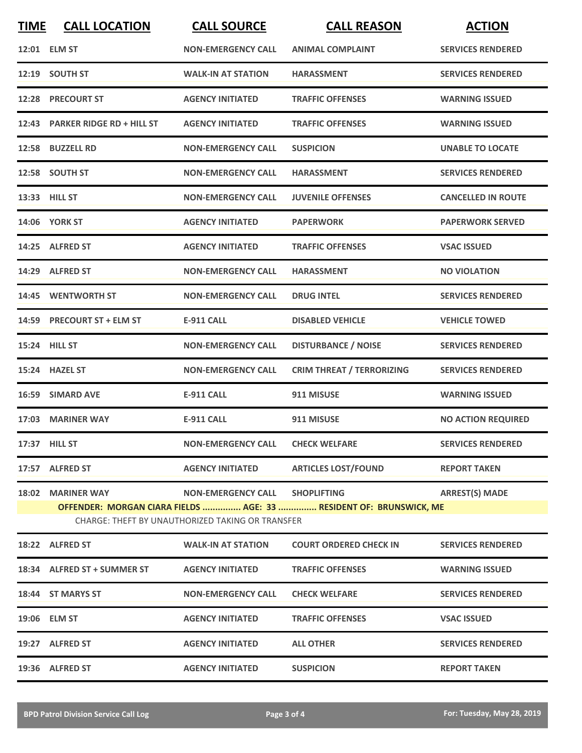| <b>TIME</b> | <b>CALL LOCATION</b>                                                                                                   | <b>CALL SOURCE</b>               | <b>CALL REASON</b>                   | <b>ACTION</b>             |  |  |
|-------------|------------------------------------------------------------------------------------------------------------------------|----------------------------------|--------------------------------------|---------------------------|--|--|
|             | 12:01 ELM ST                                                                                                           | <b>NON-EMERGENCY CALL</b>        | <b>ANIMAL COMPLAINT</b>              | <b>SERVICES RENDERED</b>  |  |  |
|             | 12:19 SOUTH ST                                                                                                         | <b>WALK-IN AT STATION</b>        | <b>HARASSMENT</b>                    | <b>SERVICES RENDERED</b>  |  |  |
|             | 12:28 PRECOURT ST                                                                                                      | <b>AGENCY INITIATED</b>          | <b>TRAFFIC OFFENSES</b>              | <b>WARNING ISSUED</b>     |  |  |
|             | 12:43 PARKER RIDGE RD + HILL ST                                                                                        | <b>AGENCY INITIATED</b>          | <b>TRAFFIC OFFENSES</b>              | <b>WARNING ISSUED</b>     |  |  |
|             | 12:58 BUZZELL RD                                                                                                       | <b>NON-EMERGENCY CALL</b>        | <b>SUSPICION</b>                     | <b>UNABLE TO LOCATE</b>   |  |  |
|             | 12:58 SOUTH ST                                                                                                         | <b>NON-EMERGENCY CALL</b>        | <b>HARASSMENT</b>                    | <b>SERVICES RENDERED</b>  |  |  |
|             | 13:33 HILL ST                                                                                                          | <b>NON-EMERGENCY CALL</b>        | <b>JUVENILE OFFENSES</b>             | <b>CANCELLED IN ROUTE</b> |  |  |
|             | <b>14:06 YORK ST</b>                                                                                                   | <b>AGENCY INITIATED</b>          | <b>PAPERWORK</b>                     | <b>PAPERWORK SERVED</b>   |  |  |
|             | 14:25 ALFRED ST                                                                                                        | <b>AGENCY INITIATED</b>          | <b>TRAFFIC OFFENSES</b>              | <b>VSAC ISSUED</b>        |  |  |
|             | 14:29 ALFRED ST                                                                                                        | <b>NON-EMERGENCY CALL</b>        | <b>HARASSMENT</b>                    | <b>NO VIOLATION</b>       |  |  |
|             | 14:45 WENTWORTH ST                                                                                                     | <b>NON-EMERGENCY CALL</b>        | <b>DRUG INTEL</b>                    | <b>SERVICES RENDERED</b>  |  |  |
|             | 14:59 PRECOURT ST + ELM ST                                                                                             | <b>E-911 CALL</b>                | <b>DISABLED VEHICLE</b>              | <b>VEHICLE TOWED</b>      |  |  |
|             | 15:24 HILL ST                                                                                                          | <b>NON-EMERGENCY CALL</b>        | <b>DISTURBANCE / NOISE</b>           | <b>SERVICES RENDERED</b>  |  |  |
|             | 15:24 HAZEL ST                                                                                                         | <b>NON-EMERGENCY CALL</b>        | <b>CRIM THREAT / TERRORIZING</b>     | <b>SERVICES RENDERED</b>  |  |  |
|             | 16:59 SIMARD AVE                                                                                                       | <b>E-911 CALL</b>                | 911 MISUSE                           | <b>WARNING ISSUED</b>     |  |  |
|             | 17:03 MARINER WAY                                                                                                      | <b>E-911 CALL</b>                | 911 MISUSE                           | <b>NO ACTION REQUIRED</b> |  |  |
|             | 17:37 HILL ST                                                                                                          | NON-EMERGENCY CALL CHECK WELFARE |                                      | <b>SERVICES RENDERED</b>  |  |  |
|             | 17:57 ALFRED ST                                                                                                        |                                  | AGENCY INITIATED ARTICLES LOST/FOUND | <b>REPORT TAKEN</b>       |  |  |
|             | 18:02 MARINER WAY                                                                                                      | NON-EMERGENCY CALL SHOPLIFTING   |                                      | <b>ARREST(S) MADE</b>     |  |  |
|             | OFFENDER: MORGAN CIARA FIELDS  AGE: 33  RESIDENT OF: BRUNSWICK, ME<br>CHARGE: THEFT BY UNAUTHORIZED TAKING OR TRANSFER |                                  |                                      |                           |  |  |
|             | 18:22 ALFRED ST                                                                                                        | <b>WALK-IN AT STATION</b>        | <b>COURT ORDERED CHECK IN</b>        | <b>SERVICES RENDERED</b>  |  |  |
|             | 18:34 ALFRED ST + SUMMER ST                                                                                            | <b>AGENCY INITIATED</b>          | <b>TRAFFIC OFFENSES</b>              | <b>WARNING ISSUED</b>     |  |  |
|             | 18:44 ST MARYS ST                                                                                                      | <b>NON-EMERGENCY CALL</b>        | <b>CHECK WELFARE</b>                 | <b>SERVICES RENDERED</b>  |  |  |
|             | 19:06 ELM ST                                                                                                           | <b>AGENCY INITIATED</b>          | <b>TRAFFIC OFFENSES</b>              | <b>VSAC ISSUED</b>        |  |  |
|             | 19:27 ALFRED ST                                                                                                        | <b>AGENCY INITIATED</b>          | <b>ALL OTHER</b>                     | <b>SERVICES RENDERED</b>  |  |  |
|             | 19:36 ALFRED ST                                                                                                        | <b>AGENCY INITIATED</b>          | <b>SUSPICION</b>                     | <b>REPORT TAKEN</b>       |  |  |